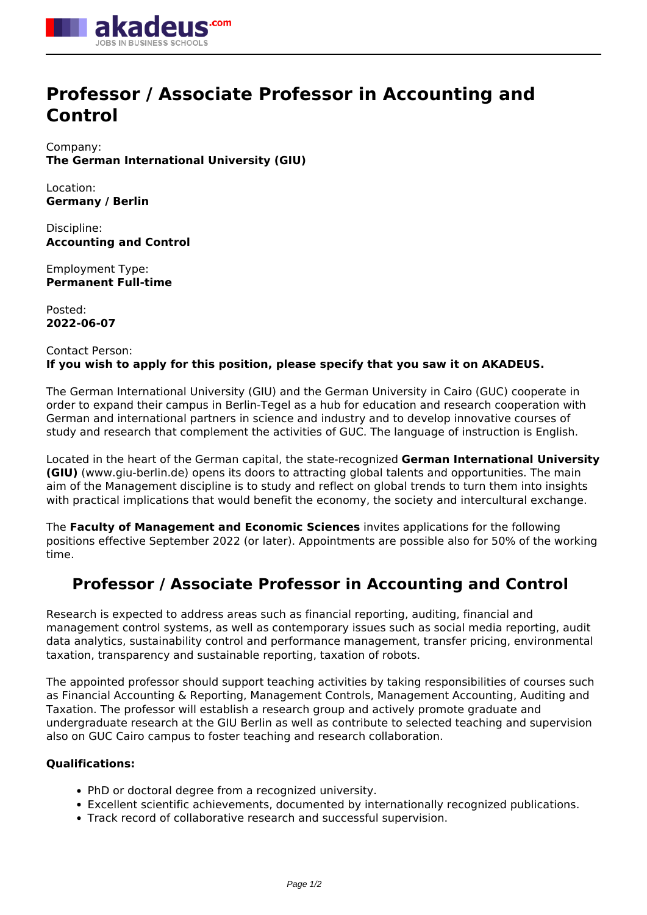

# **Professor / Associate Professor in Accounting and Control**

Company: **The German International University (GIU)**

Location: **Germany / Berlin**

Discipline: **Accounting and Control**

Employment Type: **Permanent Full-time**

Posted: **2022-06-07**

## Contact Person: **If you wish to apply for this position, please specify that you saw it on AKADEUS.**

The German International University (GIU) and the German University in Cairo (GUC) cooperate in order to expand their campus in Berlin-Tegel as a hub for education and research cooperation with German and international partners in science and industry and to develop innovative courses of study and research that complement the activities of GUC. The language of instruction is English.

Located in the heart of the German capital, the state-recognized **German International University (GIU)** (www.giu-berlin.de) opens its doors to attracting global talents and opportunities. The main aim of the Management discipline is to study and reflect on global trends to turn them into insights with practical implications that would benefit the economy, the society and intercultural exchange.

The **Faculty of Management and Economic Sciences** invites applications for the following positions effective September 2022 (or later). Appointments are possible also for 50% of the working time.

# **Professor / Associate Professor in Accounting and Control**

Research is expected to address areas such as financial reporting, auditing, financial and management control systems, as well as contemporary issues such as social media reporting, audit data analytics, sustainability control and performance management, transfer pricing, environmental taxation, transparency and sustainable reporting, taxation of robots.

The appointed professor should support teaching activities by taking responsibilities of courses such as Financial Accounting & Reporting, Management Controls, Management Accounting, Auditing and Taxation. The professor will establish a research group and actively promote graduate and undergraduate research at the GIU Berlin as well as contribute to selected teaching and supervision also on GUC Cairo campus to foster teaching and research collaboration.

### **Qualifications:**

- PhD or doctoral degree from a recognized university.
- Excellent scientific achievements, documented by internationally recognized publications.
- Track record of collaborative research and successful supervision.